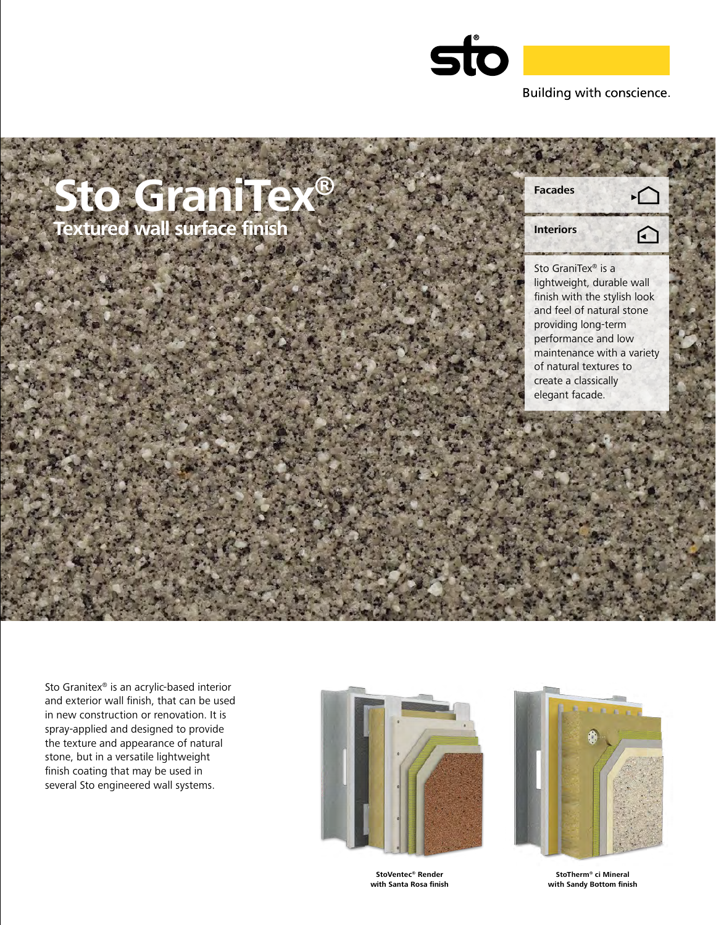

**Facades**

**Interiors**

Sto GraniTex® is a lightweight, durable wall finish with the stylish look and feel of natural stone providing long-term performance and low maintenance with a variety of natural textures to create a classically elegant facade.

 $\Omega$ 

Sto Granitex® is an acrylic-based interior and exterior wall finish, that can be used in new construction or renovation. It is spray-applied and designed to provide the texture and appearance of natural stone, but in a versatile lightweight finish coating that may be used in several Sto engineered wall systems.

**Sto GraniTex®**

**Textured wall surface finish**





**StoVentec® Render with Santa Rosa finish**

**StoTherm® ci Mineral with Sandy Bottom finish**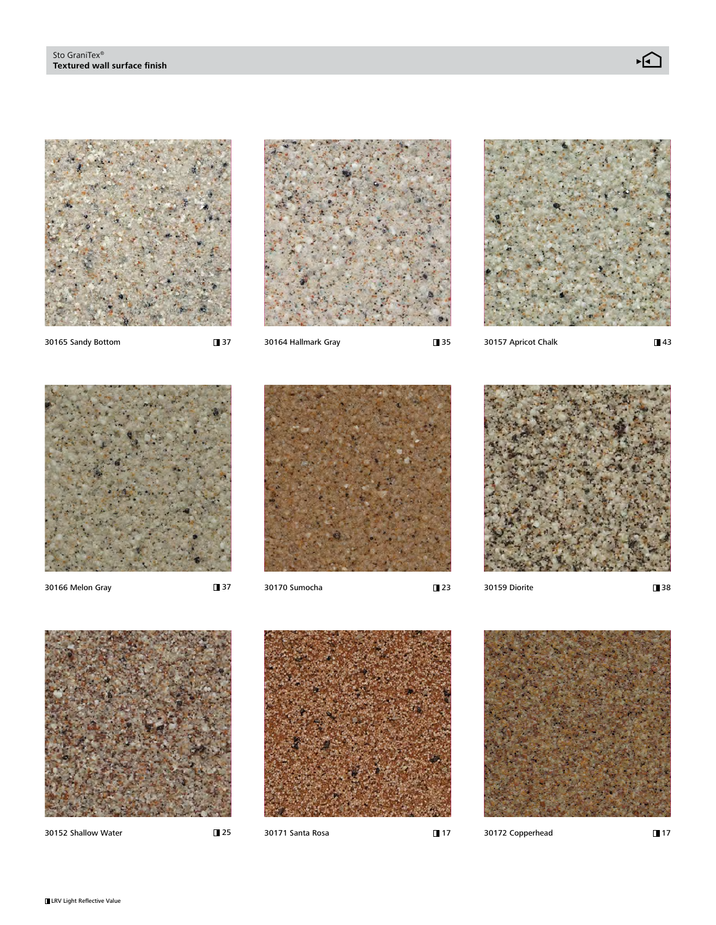

■37

**37** 





**143** 



30166 Melon Gray 30170 Sumocha 30159 Diorite





38



30152 Shallow Water 30171 Santa Rosa 30172 Copperhead

**25** 



 $\blacksquare$  17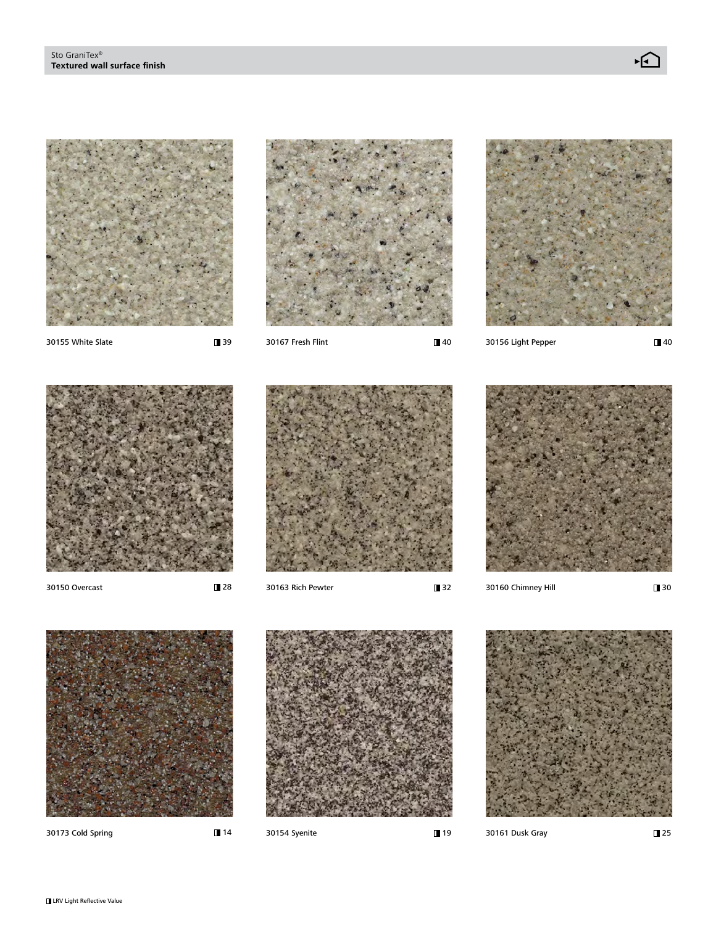

**1**39

28



**140** 



30155 White Slate 30156 Light Pepper 30167 Fresh Flint 30156 Light Pepper 30156 Light Pepper

**140** 









30150 Overcast 30163 Rich Pewter 30160 Chimney Hill

**1**30



30173 Cold Spring 30154 Syenite 30161 Dusk Gray

**14** 



19

**125**